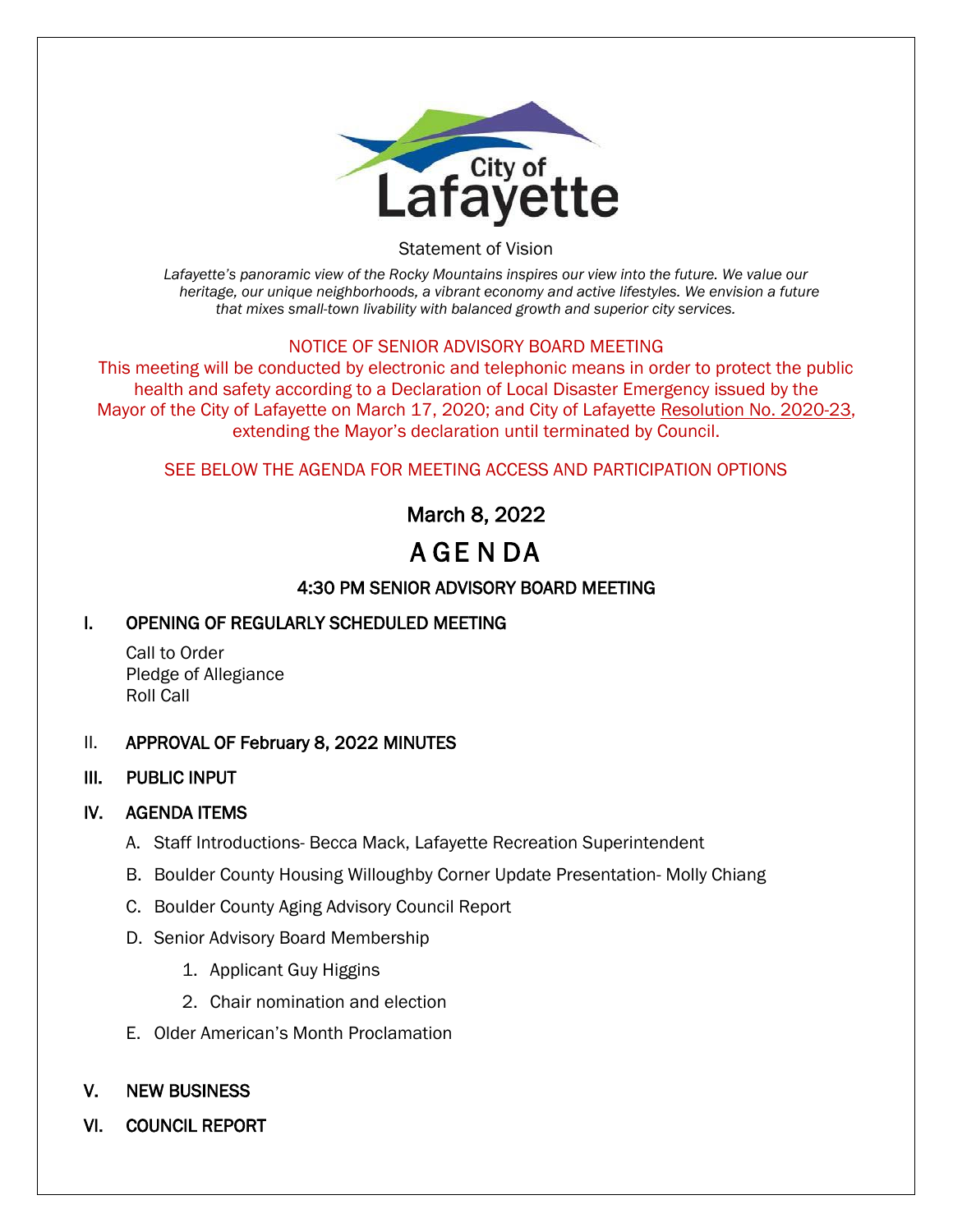

Statement of Vision

*Lafayette's panoramic view of the Rocky Mountains inspires our view into the future. We value our heritage, our unique neighborhoods, a vibrant economy and active lifestyles. We envision a future that mixes small-town livability with balanced growth and superior city services.*

### NOTICE OF SENIOR ADVISORY BOARD MEETING

This meeting will be conducted by electronic and telephonic means in order to protect the public health and safety according to a Declaration of Local Disaster Emergency issued by the Mayor of the City of Lafayette on March 17, 2020; and City of Lafayette Resolution No. 2020-23, extending the Mayor's declaration until terminated by Council.

### SEE BELOW THE AGENDA FOR MEETING ACCESS AND PARTICIPATION OPTIONS

# March 8, 2022

# A GE N DA

## 4:30 PM SENIOR ADVISORY BOARD MEETING

## I. OPENING OF REGULARLY SCHEDULED MEETING

Call to Order Pledge of Allegiance Roll Call

### II. APPROVAL OF February 8, 2022 MINUTES

### III. PUBLIC INPUT

### IV. AGENDA ITEMS

- A. Staff Introductions- Becca Mack, Lafayette Recreation Superintendent
- B. Boulder County Housing Willoughby Corner Update Presentation- Molly Chiang
- C. Boulder County Aging Advisory Council Report
- D. Senior Advisory Board Membership
	- 1. Applicant Guy Higgins
	- 2. Chair nomination and election
- E. Older American's Month Proclamation

## V. NEW BUSINESS

VI. COUNCIL REPORT